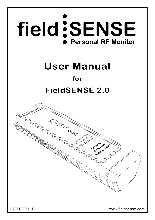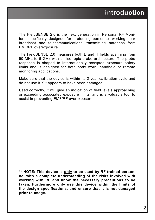The FieldSENSE 2.0 is the next generation in Personal RF Monitors specifically designed for protecting personnel working near broadcast and telecommunications transmitting antennas from EMF/RF overexposure.

The FieldSENSE 2.0 measures both E and H fields spanning from 50 MHz to 6 GHz with an isotropic probe architecture. The probe response is shaped to internationally accepted exposure safety limits and is designed for both body worn, handheld or remote monitoring applications.

Make sure that the device is within its 2 year calibration cycle and do not use it if it appears to have been damaged.

Used correctly, it will give an indication of field levels approaching or exceeding associated exposure limits, and is a valuable tool to assist in preventing EMF/RF overexposure.

**\*\* NOTE: This device is only to be used by RF trained personnel with a complete understanding of the risks involved with working with RF and know the necessary precautions to be taken. Furthermore only use this device within the limits of the design specifications, and ensure that it is not damaged prior to usage.**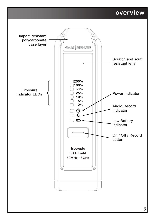### **overview**

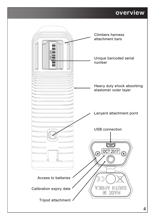### **overview**

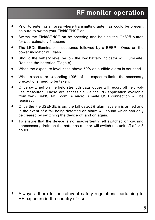- Prior to entering an area where transmitting antennas could be present be sure to switch your FieldSENSE on.
- Switch the FieldSENSE on by pressing and holding the On/Off button for approximately 1 second.
- The LEDs illuminate in sequence followed by a BEEP. Once on the power indicator will flash.
- Should the battery level be low the low battery indicator will illuminate. Replace the batteries (Page 8).
- When the exposure level rises above 50% an audible alarm is sounded.
- When close to or exceeding 100% of the exposure limit, the necessary precautions need to be taken.
- Once switched on the field strength data logger will record all field values measured. These are accessible via the PC application available from www.FieldSENSE.com. A micro B male USB connection will be required.
- Once the FieldSENSE is on, the fall detect & alarm system is armed and in the event of a fall being detected an alarm will sound which can only be cleared by switching the device off and on again.
- To ensure that the device is not inadvertently left switched on causing unnecessary drain on the batteries a timer will switch the unit off after 8 hours.

 Always adhere to the relevant safety regulations pertaining to RF exposure in the country of use.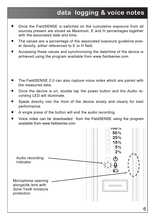# **data logging & voice notes**

- Once the FieldSENSE is switched on the cumulative exposure from all sources present are stored as Maximum, E and H percentages together with the associated date and time.
- The values are a percentage of the associated exposure guideline power density, either referenced to E or H field.
- Accessing these values and synchronizing the date/time of the device is achieved using the program available from www.fieldsense.com.
- The FieldSENSE 2.0 can also capture voice notes which are paired with the measured data.
- Once the device is on, double tap the power button and the Audio recording LED will illuminate.
- Speak directly into the front of the device slowly and clearly for best performance.
- A single press of the button will end the audio recording.
- Voice notes can be downloaded from the FieldSENSE using the program available from www.fieldsense.com

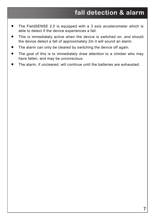## **fall detection & alarm**

- The FieldSENSE 2.0 is equipped with a 3 axis accelerometer which is able to detect if the device experiences a fall.
- This is immediately active when the device is switched on, and should the device detect a fall of approximately 2m it will sound an alarm.
- The alarm can only be cleared by switching the device off again.
- The goal of this is to immediately draw attention to a climber who may have fallen, and may be unconscious.
- The alarm, if uncleared, will continue until the batteries are exhausted.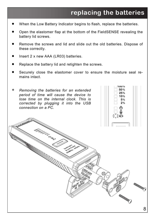## **replacing the batteries**

- When the Low Battery Indicator begins to flash, replace the batteries.
- Open the elastomer flap at the bottom of the FieldSENSE revealing the battery lid screws.
- Remove the screws and lid and slide out the old batteries. Dispose of these correctly.
- Insert 2 x new AAA (LR03) batteries.
- Replace the battery lid and retighten the screws.
- Securely close the elastomer cover to ensure the moisture seal remains intact.

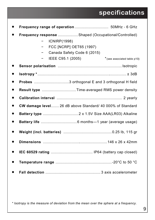## **specifications**

| Frequency response Shaped (Occupational/Controlled)<br><b>ICNIRP(1998)</b><br>FCC [NCRP] OET65 (1997)<br>Canada Safety Code 6 (2015)<br>IEEE C95.1 (2005)<br>*(see associated table p10) |
|------------------------------------------------------------------------------------------------------------------------------------------------------------------------------------------|
|                                                                                                                                                                                          |
|                                                                                                                                                                                          |
|                                                                                                                                                                                          |
| Result type Time-averaged RMS power density                                                                                                                                              |
|                                                                                                                                                                                          |
| CW damage level 26 dB above Standard/ 40 000% of Standard                                                                                                                                |
|                                                                                                                                                                                          |
|                                                                                                                                                                                          |
|                                                                                                                                                                                          |
|                                                                                                                                                                                          |
|                                                                                                                                                                                          |
|                                                                                                                                                                                          |
|                                                                                                                                                                                          |

*\* Isotropy is the measure of deviation from the mean over the sphere at a frequency.*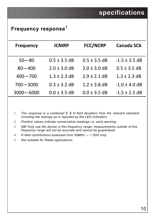### **Frequency response<sup>1</sup>**

| <b>Frequency</b> | <b>ICNIRP</b>    | <b>FCC/NCRP</b>  | Canada SC6        |
|------------------|------------------|------------------|-------------------|
|                  |                  |                  |                   |
| $50 - 80$        | $0.5 \pm 3.5$ dB | $0.5 \pm 3.5$ dB | $-1.5 \pm 3.5$ dB |
| $80 - 400$       | $2.0 \pm 3.0$ dB | $2.0 \pm 3.0$ dB | $0.5 \pm 3.5$ dB  |
| $400 - 700$      | $1.3 \pm 2.3$ dB | $2.9 \pm 2.1$ dB | $1.3 \pm 2.3$ dB  |
| $700 - 3000$     | $0.3 \pm 3.2$ dB | $1.2 \pm 3.8$ dB | $-1.0 \pm 4.0$ dB |
| 3000-6000        | $0.0 \pm 3.5$ dB | $0.0 \pm 3.5$ dB | $-1.5 \pm 2.5$ dB |

- *The response is a combined E & H field deviation from the relevant standard including the isotropy as is reported by the LED indicators.*
- *Positive values indicate conservative readings i.e. early warning.*
- *NB! Only use the device in this frequency range, measurements outside of this frequency range will not be accurate and cannot be guaranteed.*
- *H field contributions assessed from 50MHz 1 GHz only.*
- *Not suitable for Radar applications.*